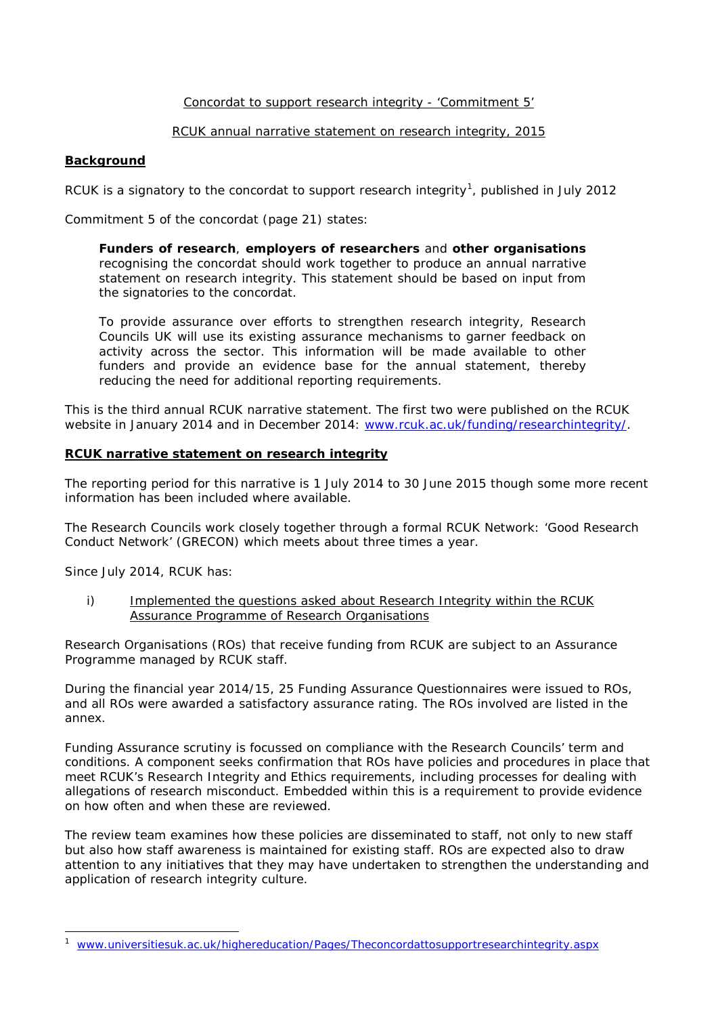### Concordat to support research integrity - 'Commitment 5'

#### RCUK annual narrative statement on research integrity, 2015

#### **Background**

RCUK is a signatory to the concordat to support research integrity<sup>[1](#page-0-0)</sup>, published in July 2012

Commitment 5 of the concordat (page 21) states:

*Funders of research, employers of researchers and other organisations recognising the concordat should work together to produce an annual narrative statement on research integrity. This statement should be based on input from the signatories to the concordat.*

*To provide assurance over efforts to strengthen research integrity, Research Councils UK will use its existing assurance mechanisms to garner feedback on*  activity across the sector. This information will be made available to other *funders and provide an evidence base for the annual statement, thereby reducing the need for additional reporting requirements.*

This is the third annual RCUK narrative statement. The first two were published on the RCUK website in January 2014 and in December 2014: [www.rcuk.ac.uk/funding/researchintegrity/.](http://www.rcuk.ac.uk/funding/researchintegrity/)

### **RCUK narrative statement on research integrity**

The reporting period for this narrative is 1 July 2014 to 30 June 2015 though some more recent information has been included where available.

The Research Councils work closely together through a formal RCUK Network: 'Good Research Conduct Network' (GRECON) which meets about three times a year.

Since July 2014, RCUK has:

i) Implemented the questions asked about Research Integrity within the RCUK Assurance Programme of Research Organisations

Research Organisations (ROs) that receive funding from RCUK are subject to an Assurance Programme managed by RCUK staff.

During the financial year 2014/15, 25 Funding Assurance Questionnaires were issued to ROs, and all ROs were awarded a satisfactory assurance rating. The ROs involved are listed in the annex.

Funding Assurance scrutiny is focussed on compliance with the Research Councils' term and conditions. A component seeks confirmation that ROs have policies and procedures in place that meet RCUK's Research Integrity and Ethics requirements, including processes for dealing with allegations of research misconduct. Embedded within this is a requirement to provide evidence on how often and when these are reviewed.

The review team examines how these policies are disseminated to staff, not only to new staff but also how staff awareness is maintained for existing staff. ROs are expected also to draw attention to any initiatives that they may have undertaken to strengthen the understanding and application of research integrity culture.

<span id="page-0-1"></span><span id="page-0-0"></span> $\overline{a}$ 1 [www.universitiesuk.ac.uk/highereducation/Pages/Theconcordattosupportresearchintegrity.aspx](http://www.universitiesuk.ac.uk/highereducation/Pages/Theconcordattosupportresearchintegrity.aspx)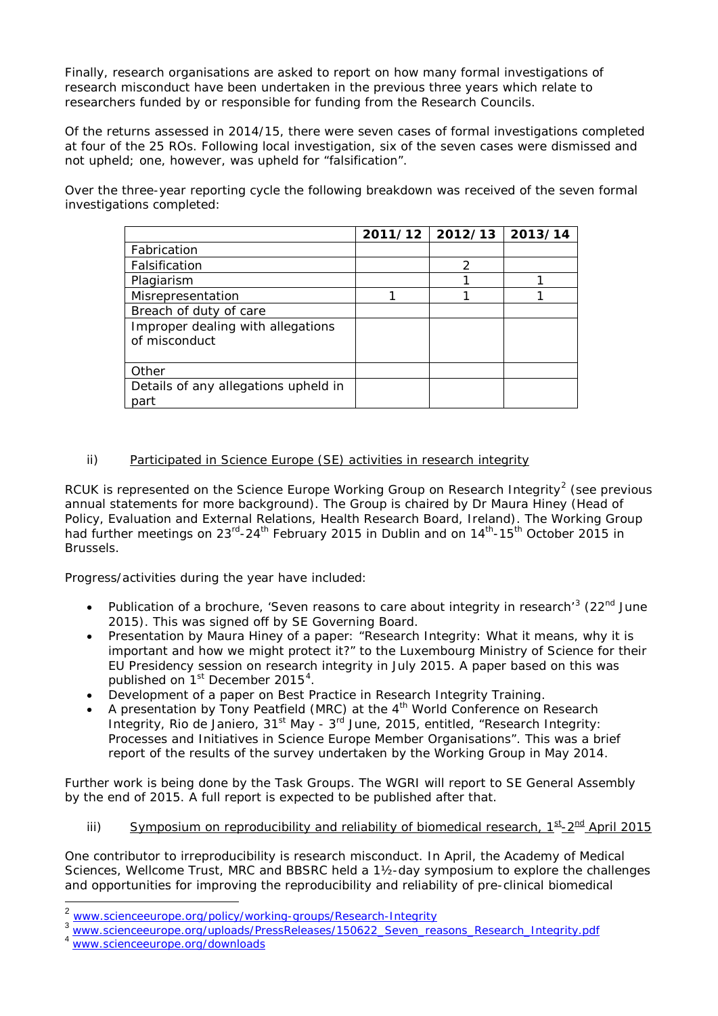Finally, research organisations are asked to report on how many formal investigations of research misconduct have been undertaken in the previous three years which relate to researchers funded by or responsible for funding from the Research Councils.

Of the returns assessed in 2014/15, there were seven cases of formal investigations completed at four of the 25 ROs. Following local investigation, six of the seven cases were dismissed and not upheld; one, however, was upheld for "falsification".

Over the three-year reporting cycle the following breakdown was received of the seven formal investigations completed:

|                                                    | $2011/12$   2012/13 | 2013/14 |
|----------------------------------------------------|---------------------|---------|
| Fabrication                                        |                     |         |
| Falsification                                      | 2                   |         |
| Plagiarism                                         |                     |         |
| Misrepresentation                                  |                     |         |
| Breach of duty of care                             |                     |         |
| Improper dealing with allegations<br>of misconduct |                     |         |
|                                                    |                     |         |
| Other                                              |                     |         |
| Details of any allegations upheld in<br>part       |                     |         |

# ii) Participated in Science Europe (SE) activities in research integrity

RCUK is represented on the Science Europe Working Group on Research Integrity<sup>[2](#page-0-1)</sup> (see previous annual statements for more background). The Group is chaired by Dr Maura Hiney (Head of Policy, Evaluation and External Relations, Health Research Board, Ireland). The Working Group had further meetings on  $23^{rd} - 24^{th}$  February 2015 in Dublin and on  $14^{th} - 15^{th}$  October 2015 in Brussels.

Progress/activities during the year have included:

- Publication of a brochure, 'Seven reasons to care about integrity in research'<sup>[3](#page-1-0)</sup> (22<sup>nd</sup> June 2015). This was signed off by SE Governing Board.
- Presentation by Maura Hiney of a paper: "Research Integrity: What it means, why it is important and how we might protect it?" to the Luxembourg Ministry of Science for their EU Presidency session on research integrity in July 2015. A paper based on this was published on 1<sup>st</sup> December 2015<sup>[4](#page-1-1)</sup>.
- Development of a paper on Best Practice in Research Integrity Training.
- A presentation by Tony Peatfield (MRC) at the  $4<sup>th</sup>$  World Conference on Research Integrity, Rio de Janiero,  $31^{st}$  May -  $3^{rd}$  June, 2015, entitled, "Research Integrity: Processes and Initiatives in Science Europe Member Organisations". This was a brief report of the results of the survey undertaken by the Working Group in May 2014.

Further work is being done by the Task Groups. The WGRI will report to SE General Assembly by the end of 2015. A full report is expected to be published after that.

iii) Symposium on reproducibility and reliability of biomedical research,  $1^{st}$ - $2^{nd}$  April 2015

One contributor to irreproducibility is research misconduct. In April, the Academy of Medical Sciences, Wellcome Trust, MRC and BBSRC held a 1½-day symposium to explore the challenges and opportunities for improving the reproducibility and reliability of pre-clinical biomedical

<span id="page-1-1"></span>

<span id="page-1-2"></span><span id="page-1-0"></span>

[www.scienceeurope.org/policy/working-groups/Research-Integrity](http://www.scienceeurope.org/policy/working-groups/Research-Integrity)<br>[www.scienceeurope.org/uploads/PressReleases/150622\\_Seven\\_reasons\\_Research\\_Integrity.pdf](http://www.scienceeurope.org/uploads/PressReleases/150622_Seven_reasons_Research_Integrity.pdf)<br>[www.scienceeurope.org/downloads](http://www.scienceeurope.org/downloads)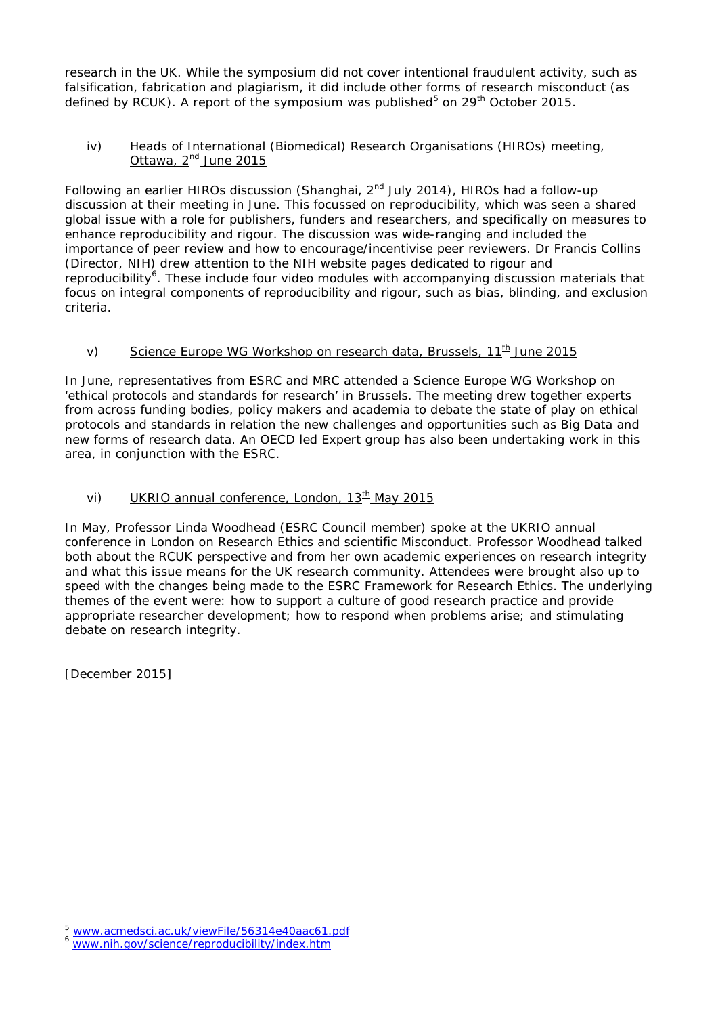research in the UK. While the symposium did not cover intentional fraudulent activity, such as falsification, fabrication and plagiarism, it did include other forms of research misconduct (as defined by RCUK). A report of the symposium was published<sup>[5](#page-1-2)</sup> on 29<sup>th</sup> October 2015.

## iv) Heads of International (Biomedical) Research Organisations (HIROs) meeting, Ottawa,  $2^{nd}$  June 2015

Following an earlier HIROs discussion (Shanghai, 2<sup>nd</sup> July 2014), HIROs had a follow-up discussion at their meeting in June. This focussed on reproducibility, which was seen a shared global issue with a role for publishers, funders and researchers, and specifically on measures to enhance reproducibility and rigour. The discussion was wide-ranging and included the importance of peer review and how to encourage/incentivise peer reviewers. Dr Francis Collins (Director, NIH) drew attention to the NIH website pages dedicated to rigour and reproducibility<sup>[6](#page-2-0)</sup>. These include four video modules with accompanying discussion materials that focus on integral components of reproducibility and rigour, such as bias, blinding, and exclusion criteria.

# v) Science Europe WG Workshop on research data, Brussels,  $11^{\text{th}}$  June 2015

In June, representatives from ESRC and MRC attended a Science Europe WG Workshop on 'ethical protocols and standards for research' in Brussels. The meeting drew together experts from across funding bodies, policy makers and academia to debate the state of play on ethical protocols and standards in relation the new challenges and opportunities such as Big Data and new forms of research data. An OECD led Expert group has also been undertaking work in this area, in conjunction with the ESRC.

# vi) UKRIO annual conference, London, 13<sup>th</sup> May 2015

In May, Professor Linda Woodhead (ESRC Council member) spoke at the UKRIO annual conference in London on Research Ethics and scientific Misconduct. Professor Woodhead talked both about the RCUK perspective and from her own academic experiences on research integrity and what this issue means for the UK research community. Attendees were brought also up to speed with the changes being made to the ESRC Framework for Research Ethics. The underlying themes of the event were: how to support a culture of good research practice and provide appropriate researcher development; how to respond when problems arise; and stimulating debate on research integrity.

[December 2015]

 $\ddot{\phantom{a}}$ [www.acmedsci.ac.uk/viewFile/56314e40aac61.pdf](http://www.acmedsci.ac.uk/viewFile/56314e40aac61.pdf)<br>[www.nih.gov/science/reproducibility/index.htm](http://www.nih.gov/science/reproducibility/index.htm)

<span id="page-2-0"></span>